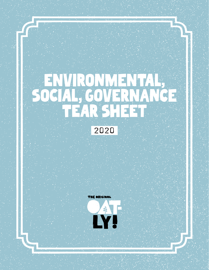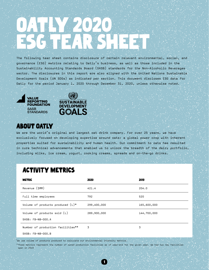# OATLY 2020 ESG TEARSHEET

The following tear sheet contains disclosure of certain relevant environmental, social, and governance (ESG) metrics relating to Oatly's business, as well as those included in the Sustainability Accounting Standards Board (SASB) standards for the Non-Alcoholic Beverages sector. The disclosures in this report are also aligned with the United Nations Sustainable Development Goals (UN SDGs) as indicated per section. This document discloses ESG data for Oatly for the period January 1, 2020 through December 31, 2020, unless otherwise noted.



## **ABOUT OATLY**

We are the world's original and largest oat drink company. For over 25 years, we have exclusively focused on developing expertise around oats: a global power crop with inherent properties suited for sustainability and human health. Our commitment to oats has resulted in core technical advancements that enabled us to unlock the breadth of the dairy portfolio, including milks, ice cream, yogurt, cooking creams, spreads and on-the-go drinks.

## Activity Metrics

| <b>METRIC</b>                       | 2020        | 2019        |
|-------------------------------------|-------------|-------------|
| Revenue (\$MM)                      | 421.4       | 204.0       |
| Full time employees                 | 792         | 520         |
| Volume of products produced $(L)^*$ | 299,400,000 | 165,600,000 |
| Volume of products sold $(L)$       | 289,900,000 | 144,700,000 |
| SASB: FB-NB-000.A                   |             |             |
| Number of production facilities**   | 3           | 3           |
| SASB: FB-NB-000.B                   |             |             |

\* We use volume of products produced to calculate our environmental intensity metrics.

\*\* These metrics represent the number of owned production facilities as of year-end for the given year. We had two new facilities open in 2019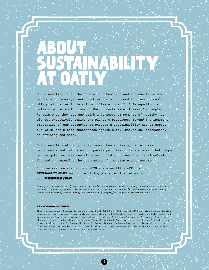## ABOUT SUSTAINABILITY at Oatly

Sustainability is at the core of our business and actionable in our products. On average, oat drink products consumed in place of cow's milk products result in a lower climate impact\*. This equation is our primary mechanism for impact. Our products make it easy for people to turn what they eat and drink into personal moments of healthy joy without excessively taxing the planet's resources. Beyond the inherent properties of our products, we execute a sustainability agenda across our value chain that encompasses agriculture, innovation, production, advertising and more.

Sustainability at Oatly is far more than achieving certain key performance indicators and corporate policies—it is a mindset that helps us navigate business decisions and build a culture that is singularly focused on expanding the boundaries of the plant-based movement.

You can read more about our 2020 sustainability efforts in our **SUSTAINABILITY UPDATE** and our exciting plans for the future in our **SUSTAINABILITY PLAN.** 

\* Poore, J., & Nemecek, T. (2018). Reducing food's environmental impacts through producers and consumers. Science, 360(6392), 987-992. (With additional calculations for the BBC's food calculator provided by J. Poore on oat drink, almond drink, and rice drink.) https://doi.org/10.1126/science.aaq0216

#### FORWARD-LOOKING STATEMENTS

This Environmental, Social, Governance Tear Sheet 2020 (the "ESG Tear Sheet") contains forward-looking statements regarding our future business expectations and objectives and our environmental, social and governance goals, which involve risks and uncertainties. Actual results may differ materially from the results anticipated depending on a variety of important factors, including without limitation the risks detailed in our filings with the U.S. Securities and Exchange Commission. In relation to the ESG Tear Sheet, we are (wholly or in part) reliant on public sources of information and information provided by our own suppliers and business partners.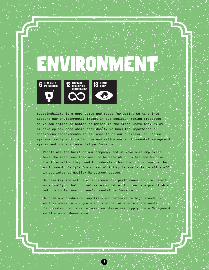# VIRONNEL



**RESPONSIBLE**<br>CONSUMPTION AND PRODUCTION



13 GLIMATE

Sustainability is a core value and focus for Oatly. We take into account our environmental impact in our decision-making processes, so we can introduce better solutions in the areas where they exist or develop new ones where they don't. We know the importance of continuous improvements in all aspects of our business, and so we systematically work to improve and refine our environmental management system and our environmental performance.

• People are the heart of our company, and we make sure employees have the resources they need to be safe at our sites and to have the information they need to understand how their work impacts the environment. Oatly's Environmental Policy is available to all staff in our internal Quality Management system.

• We have key indicators of environmental performance that we report on annually to hold ourselves accountable. And, we have practicable methods to improve our environmental performance.

• We hold our producers, suppliers and partners to high standards, as they share in our goals and visions for a more sustainable food system. For more information please see Supply Chain Management section under Governance.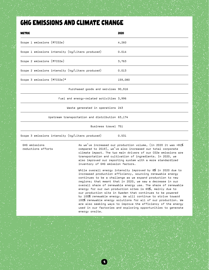## GHG Emissions and Climate Change

| <b>METRIC</b>                                    | 2020                                                                                                                          |
|--------------------------------------------------|-------------------------------------------------------------------------------------------------------------------------------|
| Scope 1 emissions (MTCO2e)                       | 4,260                                                                                                                         |
| Scope 1 emissions intensity (kg/Liters produced) | 0.014                                                                                                                         |
| Scope 2 emissions (MTCO2e)                       | 3,763                                                                                                                         |
| Scope 2 emissions intensity (kg/Liters produced) | 0.013                                                                                                                         |
| Scope 3 emissions (MTCO2e)*                      | 159,080                                                                                                                       |
| Purchased goods and services 90,916              |                                                                                                                               |
| Fuel and energy-related activities 3,996         |                                                                                                                               |
| Waste generated in operations 243                |                                                                                                                               |
| Upstream transportation and distribution 63,174  |                                                                                                                               |
| Business travel 751                              |                                                                                                                               |
| Scope 3 emissions intensity (kg/Liters produced) | 0.531                                                                                                                         |
| GHG emissions<br>reductions efforts              | As we've increased our production volume, (in 2020 it was +81%<br>compared to 2019), we've also increased our total corporate |

4

compared to 2019), we've also increased our climate impact. The two main drivers of our CO2e emissions are transportation and cultivation of ingredients. In 2020, we also improved our reporting system with a more standardized inventory of GHG emission factors.

While overall energy intensity improved by 8% in 2020 due to increased production efficiency, sourcing renewable energy continues to be a challenge as we expand production to new regions; that meant that in 2020, we saw a decrease in our overall share of renewable energy use. The share of renewable energy for our own production sites is 65%, mainly due to our production site in Sweden that continues to be powered by 100% renewable energy. We will continue to strive toward 100% renewable energy solutions for all of our production. We are also seeking ways to improve the efficiency of the energy used in our factories and exploring opportunities to generate energy onsite.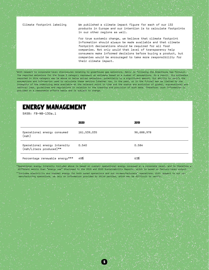Climate footprint labeling We published a climate impact figure for each of our 132 products in Europe and our intention is to calculate footprints in our other regions as well.

> For true systemic change, we believe that climate footprint information should always be made available and that climate footprint declarations should be required for all food companies. Not only would that level of transparency help consumers make informed decisions before buying a product, but companies would be encouraged to take more responsibility for their climate impact.

\* With respect to corporate-level disclosures relating to greenhouse gas emissions, Oatly is following the Greenhouse Gas Protocol. The reported emissions for the Scope 3 category represent an estimate based on a number of assumptions. As a result, the estimates reported in this category may be above or below actual emissions, potentially by a significant amount. Our ability to verify the assumptions and information used to calculate these metrics (whether now, in the past, or in the future) may be limited by the integrity of the underlying data available at the relevant point in time and the status and evolution of global, supranational and national laws, guidelines and regulations in relation to the tracking and provision of such data. Therefore, such information is provided on a reasonable efforts basis and is subject to change.

### Energy Management

SASB: FB-NB-130a.1

|                                                          | 2020        | 2019       |
|----------------------------------------------------------|-------------|------------|
| Operational energy consumed<br>(kWh)                     | 161,539,035 | 96,688,978 |
| Operational energy intensity<br>(kWh/Liters produced) ** | 0.540       | 0.584      |
| Percentage renewable energy***                           | 49%         | 63%        |

\*\*Operational energy intensity included above is based on overall operational energy consumed at a corporate level, and is therefore a different metric than "energy use" disclosed in the 2019 and 2020 Sustainability Reports, which is based on factory-level output. \*\*\*Includes electricity and thermal energy for both owned operations and our co-manufacturers' operations. With respect to our comanufacturing operations, we rely on information provided by third parties, which may be difficult to verify.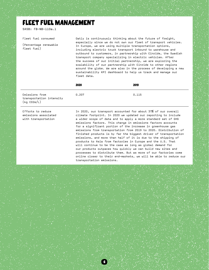## Fleet Fuel Management

SASB: FB-NB-110a.1

#### Fleet fuel consumed

(Percentage renewable fleet fuel)

Oatly is continuously thinking about the future of freight, especially since we do not own our fleet of transport vehicles. In Europe, we are using multiple transportation options, including electric truck transport inbound to warehouse and outbound to customers, in partnership with Einride, the Swedish transport company specializing in electric vehicles. After the success of our initial partnership, we are exploring the scalability of our partnership with Einride to other regions around the globe. We are also in the process of developing a new sustainability KPI dashboard to help us track and manage our fleet data.

|                                                           | 2020  | 2019  |
|-----------------------------------------------------------|-------|-------|
| Emissions from<br>transportation intensity<br>(kg CO2e/L) | 0.207 | 0.115 |

Efforts to reduce emissions associated with transportation

In 2020, our transport accounted for about 37% of our overall climate footprint. In 2020 we updated our reporting to include a wider scope of data and to apply a more standard set of GHG emissions factors. This change in emissions factors accounts for a significant portion of the increase in greenhouse gas emissions from transportation from 2019 to 2020. Distribution of finished products is by far the biggest driver of transportation emissions, and more than half of it is due to the shipping of products to Asia from factories in Europe and the U.S. That will continue to be the case as long as global demand for our products outpaces how quickly we can build new sites and processes to distribute them. But as more of our factories come online closer to their end-markets, we will be able to reduce our transportation emissions.

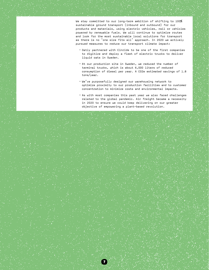We stay committed to our long-term ambition of shifting to 100% sustainable ground transport (inbound and outbound) for our products and materials, using electric vehicles, rail or vehicles powered by renewable fuels. We will continue to optimize routes and look for the most sustainable local solutions for transport as there is no 'one size fits all' approach. In 2020 we actively pursued measures to reduce our transport climate impact:

- Oatly partnered with Einride to be one of the first companies to digitize and deploy a fleet of electric trucks to deliver liquid oats in Sweden.
- At our production site in Sweden, we reduced the number of terminal trucks, which is about 6,000 liters of reduced consumption of diesel per year. A CO2e estimated savings of 1.8 tons/year.
- We've purposefully designed our warehousing network to optimize proximity to our production facilities and to customer concentration to minimize costs and environmental impacts.
- As with most companies this past year we also faced challenges related to the global pandemic. Air freight became a necessity in 2020 to ensure we could keep delivering on our greater objective of empowering a plant-based revolution.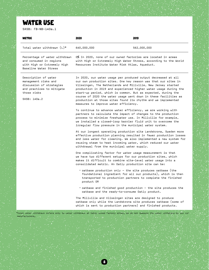## WATER USE

SASB: FB-NB-140a.1

| METRIC                                                                                                                               | 2020                                                                                                                                                                                                                                                                                                                                                                                                                                                                                                               | 2019                                                                                                                                   |
|--------------------------------------------------------------------------------------------------------------------------------------|--------------------------------------------------------------------------------------------------------------------------------------------------------------------------------------------------------------------------------------------------------------------------------------------------------------------------------------------------------------------------------------------------------------------------------------------------------------------------------------------------------------------|----------------------------------------------------------------------------------------------------------------------------------------|
| Total water withdrawn $(L)^*$                                                                                                        | 640,000,000                                                                                                                                                                                                                                                                                                                                                                                                                                                                                                        | 562,000,000                                                                                                                            |
| Percentage of water withdrawn<br>and consumed in regions<br>with High or Extremely High<br>Baseline Water Stress                     | 0% In 2020, none of our owned factories are located in areas<br>with High or Extremely High Water Stress, according to the World<br>Resources Institute Water Risk Atlas, Aqueduct.                                                                                                                                                                                                                                                                                                                                |                                                                                                                                        |
| Description of water<br>management risks and<br>discussion of strategies<br>and practices to mitigate<br>those risks<br>SASB: 140a.2 | In 2020, our water usage per produced output decreased at all<br>our own production sites. One key reason was that our sites in<br>Vlissingen, The Netherlands and Millville, New Jersey started<br>production in 2019 and experienced higher water usage during the<br>start-up period, which is common. But as expected, during the<br>course of 2020 the water usage went down in these facilities as<br>production at those sites found its rhythm and we implemented<br>measures to improve water efficiency. |                                                                                                                                        |
|                                                                                                                                      | To continue to advance water efficiency, we are working with<br>partners to calculate the impact of changes to the production<br>process to minimize freshwater use. In Millville for example,<br>we installed a closed-loop barrier fluid unit to overcome the<br>irreqular flow pressure in the municipal water system.                                                                                                                                                                                          |                                                                                                                                        |
|                                                                                                                                      | At our longest operating production site Landskrona, Sweden more<br>reusing steam to heat incoming water, which reduced our water<br>withdrawal from the municipal water supply.                                                                                                                                                                                                                                                                                                                                   | effective production planning resulted in fewer production losses<br>and less water for cleaning. We also implemented a new system for |
|                                                                                                                                      | One complicating factor for water usage measurement is that<br>we have two different setups for our production sites, which<br>makes it difficult to combine site-level water usage into a<br>consolidated metric. An Oatly production site can be:                                                                                                                                                                                                                                                                |                                                                                                                                        |
|                                                                                                                                      | $\cdot$ oatbase production only $-$ the site produces oatbase (the<br>product OR                                                                                                                                                                                                                                                                                                                                                                                                                                   | foundational ingredient for all our products), which is then<br>transported to production partners to complete the finished            |
|                                                                                                                                      | oatbase and the ready-to-consume Oatly product.                                                                                                                                                                                                                                                                                                                                                                                                                                                                    | • oatbase and finished good production - the site produces the                                                                         |
|                                                                                                                                      | The Millville and Vlissingen sites are designed to produce<br>oatbase only while the Landskrona site produces oatbase (some of<br>which is sent to production partners) and finished products.                                                                                                                                                                                                                                                                                                                     |                                                                                                                                        |
|                                                                                                                                      |                                                                                                                                                                                                                                                                                                                                                                                                                                                                                                                    |                                                                                                                                        |

\* Total water withdrawn refers only to water withdrawn at Oatly owned factory sites. We do not measure the water withdrawn by our comanufacturers.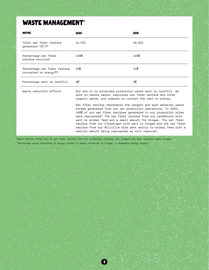## WASTE MANAGEMENT\*

| <b>METRIC</b>                                         | 2020                                                                                                                                                                           | 2019   |
|-------------------------------------------------------|--------------------------------------------------------------------------------------------------------------------------------------------------------------------------------|--------|
| Total oat fiber residue<br>generated $(MT)*$          | 41,531                                                                                                                                                                         | 18,602 |
| Percentage oat fiber<br>residue recycled              | 100%                                                                                                                                                                           | 100%   |
| Percentage oat fiber residue<br>converted to energy** | 34%                                                                                                                                                                            | 21%    |
| Percentage sent to landfill                           | О%                                                                                                                                                                             | О%     |
| Waste reduction efforts                               | Our aim is to eliminate production waste sent to landfill. We<br>aranta da constituído a constituído de conseguidade de 1999, en conseguidade do seu estrutura do conseguidade |        |

work to reduce waste, repurpose oat fiber residue and other organic waste, and compost or convert the rest to energy. Oat fiber residue represents the largest and most material waste stream generated from our own production operations. In 2020, 100% of our oat fiber residues generated in our production sites were repurposed! The oat fiber residue from our Landskrona site went to animal feed and a small amount for biogas. The oat fiber residue from our Vlissingen site went to biogas and the oat fiber residue from our Millville site went mainly to animal feed with a

smaller amount being repurposed as soil improver.

\* Waste metrics refer only to oat fiber residue from our production process, our largest and most material waste stream. \*\*Percentage waste converted to energy refers to waste converted to biogas, a renewable energy source.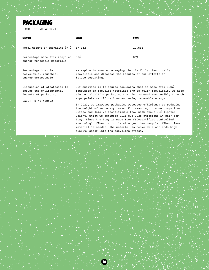## **PACKAGING**

SASB: FB-NB-410a.1

| <b>METRIC</b>                                                                                                             | 2020                                                                                                                                                                                                                                                                                                                                                                                                                                                                                                                                                                                                                                                                                                                                                                          | 2019   |
|---------------------------------------------------------------------------------------------------------------------------|-------------------------------------------------------------------------------------------------------------------------------------------------------------------------------------------------------------------------------------------------------------------------------------------------------------------------------------------------------------------------------------------------------------------------------------------------------------------------------------------------------------------------------------------------------------------------------------------------------------------------------------------------------------------------------------------------------------------------------------------------------------------------------|--------|
| Total weight of packaging (MT)                                                                                            | 17,332                                                                                                                                                                                                                                                                                                                                                                                                                                                                                                                                                                                                                                                                                                                                                                        | 10,681 |
| Percentage made from recycled<br>and/or renewable materials                                                               | 87%                                                                                                                                                                                                                                                                                                                                                                                                                                                                                                                                                                                                                                                                                                                                                                           | 86%    |
| Percentage that is<br>recyclable, reusable,<br>and/or compostable                                                         | We aspire to source packaging that is fully, technically<br>recyclable and disclose the results of our efforts in<br>future reporting.                                                                                                                                                                                                                                                                                                                                                                                                                                                                                                                                                                                                                                        |        |
| Discussion of strategies to<br>reduce the environmental<br>impacts of packaging<br>$SASR: FR-NR-410a.2$<br><b>Service</b> | Our ambition is to source packaging that is made from 100%<br>renewable or recycled materials and is fully recyclable. We also<br>aim to prioritize packaging that is produced responsibly through<br>appropriate certifications and using renewable energy.<br>In 2020, we improved packaging resource efficiency by reducing<br>the weight of secondary trays. For example, in some trays from<br>Europe and Asia we identified a tray with about 35% lighter<br>weight, which we estimate will cut CO2e emissions in half per<br>tray. Since the tray is made from FSC-certified controlled<br>wood virgin fiber, which is stronger than recycled fiber, less<br>material is needed. The material is recyclable and adds high-<br>quality paper into the recycling system. |        |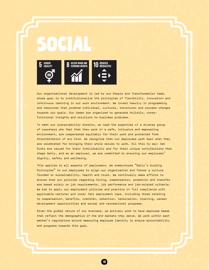

Our organizational development is led by our People and Transformation team, whose goal is to institutionalize the principles of flexibility, innovation and continuous learning in our work environment. We invest heavily in programming and resources that promote individual, cultural, structural and process changes towards our goals. Our teams are organized to generate holistic, crossfunctional insights and solutions to business problems.

To meet our sustainability mission, we need the expertise of a diverse group of coworkers who feel that they work in a safe, inclusive and empowering environment, are compensated equitably for their work and protected from discrimination of any kind. We recognize that our employees work best when they are celebrated for bringing their whole selves to work. All this to say: Oat Punks are valued for their individuality and for their unique contributions that shape Oatly, and as an employer, we are committed to ensuring our employees' dignity, safety and wellbeing.

This applies to all aspects of employment. We communicate "Oatly's Guiding Principles" to our employees to align our organization and foster a culture founded on sustainability, health and trust. We continually make efforts to ensure that our policies regarding hiring, compensation, promotion and transfer are based solely on job requirements, job performance and job-related criteria. We aim to apply our employment policies and practice in full compliance with applicable national and local fair employment laws, including those relating to compensation, benefits, transfer, retention, termination, training, career development opportunities and social and recreational programs.

Given the global nature of our business, we actively work to have employee bases that reflect the demographics of the end markets they serve. We work within each market's regulations around measuring employee identity to ensure accountability and progress towards this goal.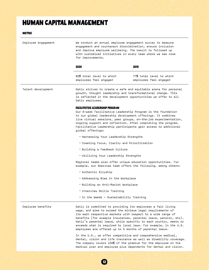## HUMAN CAPITAL MANAGEMENT

#### **METRIC**

| Employee engagement | We conduct an annual employee engagement survey to measure<br>engagement and counteract discrimination, ensure inclusion<br>and improve employee wellbeing. The result is followed up<br>with customized initiatives in every team where we see room<br>for improvements. |                                                                                                                                                                                                                                                                                                                                                                                                                                                                 |  |  |
|---------------------|---------------------------------------------------------------------------------------------------------------------------------------------------------------------------------------------------------------------------------------------------------------------------|-----------------------------------------------------------------------------------------------------------------------------------------------------------------------------------------------------------------------------------------------------------------------------------------------------------------------------------------------------------------------------------------------------------------------------------------------------------------|--|--|
|                     | 2020                                                                                                                                                                                                                                                                      | 2019                                                                                                                                                                                                                                                                                                                                                                                                                                                            |  |  |
|                     | 80% total level to which<br>employees feel engaged                                                                                                                                                                                                                        | 77% total level to which<br>employees feel engaged                                                                                                                                                                                                                                                                                                                                                                                                              |  |  |
| Talent development  | Oatly strives to create a safe and equitable arena for personal<br>growth, thought leadership and transformational change. This<br>is reflected in the development opportunities we offer to all<br>Oatly employees.                                                      |                                                                                                                                                                                                                                                                                                                                                                                                                                                                 |  |  |
|                     | FACILITATIVE LEADERSHIP PROGRAM<br>global offerings:                                                                                                                                                                                                                      | Our 6-week Facilitative Leadership Program is the foundation<br>to our global leadership development offerings. It combines<br>live virtual sessions, peer groups, on-the-job experimentation,<br>ongoing support and reflection. After completing the program,<br>Facilitative Leadership participants gain access to additional                                                                                                                               |  |  |
|                     | • Harnessing Your Leadership Strengths                                                                                                                                                                                                                                    |                                                                                                                                                                                                                                                                                                                                                                                                                                                                 |  |  |
|                     |                                                                                                                                                                                                                                                                           | . Creating Focus, Clarity and Prioritization                                                                                                                                                                                                                                                                                                                                                                                                                    |  |  |
|                     |                                                                                                                                                                                                                                                                           | • Building a Feedback Culture                                                                                                                                                                                                                                                                                                                                                                                                                                   |  |  |
|                     | · Utilizing Your Leadership Strengths                                                                                                                                                                                                                                     |                                                                                                                                                                                                                                                                                                                                                                                                                                                                 |  |  |
|                     | Regional teams also offer unique education opportunities. For<br>example, our Americas team offers the following, among others:                                                                                                                                           |                                                                                                                                                                                                                                                                                                                                                                                                                                                                 |  |  |
|                     | • Authentic Allyship                                                                                                                                                                                                                                                      |                                                                                                                                                                                                                                                                                                                                                                                                                                                                 |  |  |
|                     | • Addressing Bias in the Workplace                                                                                                                                                                                                                                        |                                                                                                                                                                                                                                                                                                                                                                                                                                                                 |  |  |
|                     |                                                                                                                                                                                                                                                                           | • Building an Anti-Racist Workplace                                                                                                                                                                                                                                                                                                                                                                                                                             |  |  |
|                     |                                                                                                                                                                                                                                                                           | · Interview Skills Training                                                                                                                                                                                                                                                                                                                                                                                                                                     |  |  |
|                     | . In the Weeds - Sustainability Training                                                                                                                                                                                                                                  |                                                                                                                                                                                                                                                                                                                                                                                                                                                                 |  |  |
| Employee benefits   |                                                                                                                                                                                                                                                                           | Oatly is committed to providing its employees a fair living<br>wage, and aims to exceed the minimum legal requirements of<br>its each respective markets with respect to a wide range of<br>benefits (for example insurances, parental leave, pension, etc).<br>Oatly's parental leave, while specific to each country, meets or<br>exceeds what is required by local laws. For example, in the U.S.<br>employees are offered up to 5 months of parental leave. |  |  |
|                     |                                                                                                                                                                                                                                                                           | In the U.S., we offer competitive and comprehensive medical,<br>dental, vision and life insurance as well as disability coverage.<br>The company covers 100% of the premium for the employee on the<br>medical plan and employee plus dependents for dental and vision.                                                                                                                                                                                         |  |  |

 $\bullet$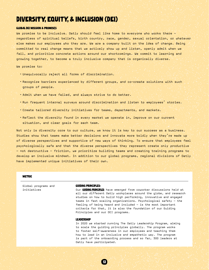## Diversity, Equity, & Inclusion (DEI)

#### Global DEI Mission & Promises

We promise to be inclusive. Oatly should feel like home to everyone who works there – regardless of spiritual beliefs, birth country, race, gender, sexual orientation, or whatever else makes our employees who they are. We are a company built on the idea of change. Being committed to real change means that we actively show up and listen, openly admit when we fail, and prioritize concrete actions around our shortcomings. We commit to learning and growing together, to become a truly inclusive company that is organically diverse.

We promise to:

- Unequivocally reject all forms of discrimination.
- Recognize barriers experienced by different groups, and co-create solutions with such groups of people.
- Admit when we have failed, and always strive to do better.
- Run frequent internal surveys around discrimination and listen to employees' stories.
- Create tailored diversity initiatives for teams, departments, and markets.
- Reflect the diversity found in every market we operate in, improve on our current situation, and clear goals for each team.

Not only is diversity core to our culture, we know it is key to our success as a business. Studies show that teams make better decisions and innovate more boldly when they're made up of diverse perspectives and supportive of new ways of thinking. To ensure that employees feel psychologically safe and that the diverse perspectives they represent create only productive – not destructive - friction, we prioritize building teams and creating training programs to develop an inclusive mindset. In addition to our global programs, regional divisions of Oatly have implemented unique initiatives of their own.

13

#### **METRIC**

Global programs and initiatives

#### Guiding Principles:

Our **GUIDING PRINCIPLES** have emerged from coworker discussions held at all our different Oatly workplaces around the globe, and research studies on how to build high performing, innovative and engaged teams in fast scaling organizations. Psychological safety - the feeling of being heard and included - is the most important criteria for that, it is also the foundation of our Guiding Principles and our DEI programs.

#### **LEADERSHIP**

In 2020 we started running The Oatly Leadership Program, aiming to scale the guiding principles globally. The program works to foster self-awareness in our employees and teaching them how to lead in an inclusive and empathetic way. The program is part of the onboarding process and so far, 300 leaders at Oatly have participated.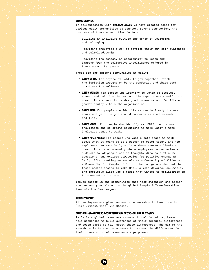#### **COMMUNITIES**

In collaboration with THEFEM LEAGUE we have created space for various Oatly communities to connect. Beyond connection, the purposes of these communities include:

- Building an inclusive culture and sense of wellbeing and belonging
- Providing employees a way to develop their own self-awareness and self-leadership
- Providing the company an opportunity to learn and improve from the collective intelligence offered in these community groups.

These are the current communities at Oatly:

- OATLY CARES: For anyone at Oatly to get together, break the isolation brought on by the pandemic, and share best practices for wellness.
- OATLY WOMEN: For people who identify as women to discuss, share, and gain insight around life experiences specific to women. This community is designed to ensure and facilitate gender equity within the organisation.
- **OATLY MEN:** For people who identify as men to freely discuss, share and gain insight around concerns related to work and life.
- **OATLY LGBTQ**+: For people who identify as LGBTQ+ to discuss challenges and co-create solutions to make Oatly a more inclusive place to work.
- **OATLY POC & ALLIES:** For people who want a safe space to talk about what it means to be a person of color today, and how employees can make Oatly a place where everyone 'feels at home.' This is a community where employees can experience a diversity of people and of thought, discuss difficult questions, and explore strategies for positive change at Oatly. After meeting separately as a Community of Allies and a Community for People of Color, the two groups decided that their shared desire to make Oatly a more diverse, equitable, and inclusive place was a topic they wanted to collaborate on to co-create solutions.

Issues raised in the communities that need attention and action are currently escalated to the global People & Transformation team via the Fem League.

#### **RECRUITMENT**

All employees are given access to a workshop to learn how to "Hire without bias" via Utopia.

#### Cultural Awareness Workshops in Cross-Cultural Teams

14

As Oatly's global teams are cross-cultural in nature, teams hold workshops to build awareness of their cultural differences and learn tools to talk about those differences. The aim of the workshops is to encourage teams to harness the differences in their cross-cultural teams as a superpower.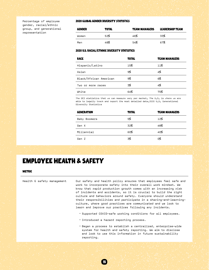Percentage of employee gender, racial/ethnic group, and generational representation

#### 2020 Global Gender Diversity Statistics

| <b>GENDER</b> | <b>TOTAL</b> | <b>TEAM MANAGERS</b> | <b>LEADERSHIP TEAM</b> |
|---------------|--------------|----------------------|------------------------|
| Women         | 52%          | 46%                  | 33%                    |
| Men           | 48%          | 54%                  | 67%                    |

#### 2020 U.S. Racial/Ethnic Diversity Statistics

| <b>RACE</b>            | TOTAL | <b>TEAM MANAGERS</b> |
|------------------------|-------|----------------------|
| Hispanic/Latino        | 15%   | 11%                  |
| Asian                  | 9%    | 4%                   |
| Black/African American | 9%    | 6%                   |
| Two or more races      | 3%    | 4%                   |
| White                  | 64%   | 75%                  |

The DEI statistics that we can measure vary per market. The U.S. is where we are able to legally track and report the most detailed data.2020 U.S. Generational Diversity Statistics

| <b>GENERATION</b> | <b>TOTAL</b> | <b>TEAM MANAGERS</b> |
|-------------------|--------------|----------------------|
| Baby Boomers      | 5%           | 12%                  |
| Gen X             | 32%          | 48%                  |
| Millennial        | 60%          | 40%                  |
| Gen Z             | 3%           | о%                   |

## Employee Health & Safety

**METRIC** 

Health & safety management Our safety and health policy ensures that employees feel safe and work to incorporate safety into their overall work mindset. We know that rapid production growth comes with an increasing risk of incidents and accidents, so it is crucial to build the right culture and behaviors around safety. Everyone should understand their responsibilities and participate in a sharing-and-learningculture, where good practices are communicated and we look to learn and improve our practices following any incidents. • Supported COVID-safe working conditions for all employees. • Introduced a hazard reporting process. • Began a process to establish a centralized, enterprise-wide system for health and safety reporting. We aim to disclose and look to use this information in future sustainability reporting.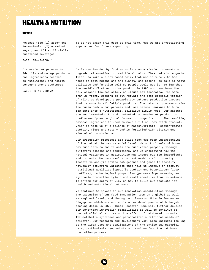## Health & Nutrition

#### **METRIC**

Revenue from (1) zero- and low-calorie, (2) no-added sugar, and (3) artificially sweetened beverages

We do not track this data at this time, but we are investigating approaches for future reporting.

SASB: FB-NB-260a.1

Discussion of process to identify and manage products and ingredients related to nutritional and health concerns among customers

SASB: FB-NB-260a.2

Oatly was founded by food scientists on a mission to create an upgraded alternative to traditional dairy. They had simple goals: first, to make a plant-based dairy that was in tune with the needs of both humans and the planet, and second, to make it taste delicious and function well so people would use it. We launched the world's first oat drink product in 1995 and have been the only company focused solely on liquid oat technology for more than 25 years, working to put forward the best possible version of milk. We developed a proprietary oatbase production process that is core to all Oatly's products. The patented process mimics the human body's own process and uses natural enzymes to turn raw oats into a nutritional, delicious liquid food. Our patents are supplemented with and protected by decades of production craftsmanship and a global innovation organization. The resulting oatbase ingredient is used to make our final oat drink product, which is made up of a balance of macronutrients – carbohydrates, protein, fiber and fats – and is fortified with vitamin and mineral micronutrients.

Our production processes are built from our deep understanding of the oat at the raw material level. We work closely with our oat suppliers to ensure oats are cultivated properly through different seasons and conditions, and we understand how the natural variances in agriculture may impact our raw ingredients and products. We have exclusive partnerships with industry leaders to analyze entire oat genomes and genes to identify naturally occurring variances that help us improve on product nutritional qualities (specific protein and beta-glucan fiber profiles), technological properties (process improvements) and agronomic properties (yield and resilience). We look to science to inform our point of view on how to build our products for health and nutritional outcomes.

We continue to invest in our innovation capabilities through the expansion of our Food Innovation team on a global as well as regional level, and through our Research Hubs in Sweden and Singapore, which are currently under development, with target opening dates in 2022. These Research Hubs will further develop our long-term innovation capabilities as well as continue to conduct clinical studies on the effect of oat-based products for metabolic syndromes and personalized nutritional needs of children. Our research and development work also includes looking at the wider uses and applications of the entire raw material oats, particularly by-products and residue from the oat base production process.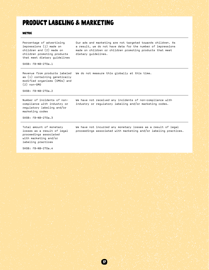## Product Labeling & Marketing

#### **METRIC**

Percentage of advertising impressions (1) made on children and (2) made on children promoting products that meet dietary guidelines Our ads and marketing are not targeted towards children. As dietary guidelines.

SASB: FB-NB-270a.1

as (1) containing genetically modified organisms (GMOs) and (2) non-GMO

a result, we do not have data for the number of impressions made on children or children promoting products that meet

Revenue from products labeled We do not measure this globally at this time.

SASB: FB-NB-270a.2

Number of incidents of noncompliance with industry or regulatory labeling and/or marketing codes

We have not received any incidents of non-compliance with industry or regulatory labeling and/or marketing codes.

SASB: FB-NB-270a.3

Total amount of monetary losses as a result of legal proceedings associated with marketing and/or labeling practices

We have not incurred any monetary losses as a result of legal proceedings associated with marketing and/or labeling practices.

SASB: FB-NB-270a.4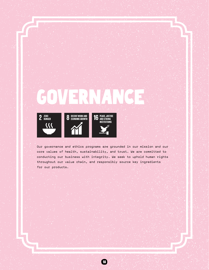# GOV







Our governance and ethics programs are grounded in our mission and our core values of health, sustainability, and trust. We are committed to conducting our business with integrity. We seek to uphold human rights throughout our value chain, and responsibly source key ingredients for our products.

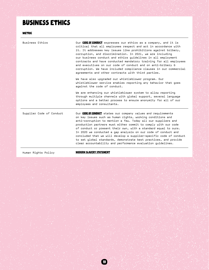## Business Ethics

Metric

| Business Ethics          | Our CODE OF CONDUCT expresses our ethics as a company, and it is<br>critical that all employees respect and act in accordance with<br>it. It addresses key issues like prohibitions against bribery,<br>corruption, and discrimination. In 2021, we are including<br>our business conduct and ethics quidelines in all employment<br>contracts and have conducted mandatory training for all employees<br>and executives on our code of conduct and on anti-bribery &<br>corruption. We have included compliance clauses in our commercial<br>agreements and other contracts with third parties.              |
|--------------------------|---------------------------------------------------------------------------------------------------------------------------------------------------------------------------------------------------------------------------------------------------------------------------------------------------------------------------------------------------------------------------------------------------------------------------------------------------------------------------------------------------------------------------------------------------------------------------------------------------------------|
|                          | We have also upgraded our whistleblower program. Our<br>whistleblower service enables reporting any behavior that goes<br>against the code of conduct.                                                                                                                                                                                                                                                                                                                                                                                                                                                        |
|                          | We are enhancing our whistleblower system to allow reporting<br>through multiple channels with global support, several language<br>options and a better process to ensure anonymity for all of our<br>employees and consultants.                                                                                                                                                                                                                                                                                                                                                                              |
| Supplier Code of Conduct | Our CODE OF CONDUCT states our company values and requirements<br>on key issues such as human rights, working conditions and<br>anti-corruption to mention a few. Today all our suppliers and<br>production partners must either commit to comply with our code<br>of conduct or present their own, with a standard equal to ours.<br>In 2020 we conducted a gap analysis on our code of conduct and<br>concluded that we will develop a supplier-specific code of conduct<br>to set qlobal standards, demonstrate best practices, and provide<br>clear accountability and performance evaluation quidelines. |

Human Rights Policy MODERN SLAVERY STATEMENT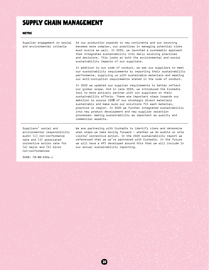## Supply Chain Management

#### **METRIC**

Supplier engagement on social and environmental criteria As our production expands to new continents and our sourcing becomes more complex, our practices in managing potential risks must evolve as well. In 2020, we launched a systematic approach that integrates sustainability into daily sourcing practices and decisions. This looks at both the environmental and social sustainability impacts of our suppliers. In addition to our code of conduct, we ask our suppliers to meet our sustainability requirements by reporting their sustainability performance, supplying us with sustainable materials and meeting our anti-corruption requirements stated in the code of conduct. In 2020 we updated our supplier requirements to better reflect our global scope. And in late 2020, we introduced the EcoVadis tool to more actively partner with our suppliers on their sustainability efforts. These are important steps towards our ambition to source 100% of our strategic direct materials sustainably and make sure our solutions fit each material, practice or region. In 2020 we further integrated sustainability into new product development and new supplier selection processes– making sustainability as important as quality and commercial aspects.

Suppliers' social and environmental responsibility audit (1) non-conformance rate and (2) associated corrective action rate for (a) major and (b) minor non-conformances

We are partnering with EcoVadis to identify risks and determine what steps we take moving forward - whether we do audits or site visits/ corrective action. In the 2020 sustainability report we referenced that we we've partnered with EcoVadis. In the future we will have a KPI developed around this that we will include in our annual sustainability reporting.

SASB: FB-NB-430a.1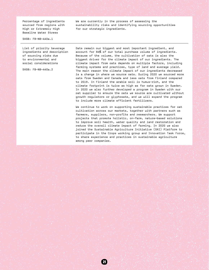Percentage of ingredients sourced from regions with High or Extremely High Baseline Water Stress

We are currently in the process of assessing the sustainability risks and identifying sourcing opportunities for our strategic ingredients.

SASB: FB-NB-440a.1

List of priority beverage ingredients and description of sourcing risks due to environmental and social considerations

SASB: FB-NB-440a.2

Oats remain our biggest and most important ingredient, and account for 84% of our total purchase volume of ingredients. Because of the volume, the cultivation of oats is also the biggest driver for the climate impact of our ingredients. The climate impact from oats depends on multiple factors, including farming systems and practices, type of land and average yield. The main reason the climate impact of our ingredients decreased is a change in where we source oats. During 2020 we sourced more oats from Sweden and Canada and less oats from Finland compared to 2019. In Finland the arable soil is humus-rich, and the climate footprint is twice as high as for oats grown in Sweden. In 2020 we also further developed a program in Sweden with our oat supplier to ensure the oats we source are cultivated without growth regulators or glyphosate, and we will expand the program to include more climate efficient fertilizers.

We continue to work on supporting sustainable practices for oat cultivation across our markets, together with partners such as farmers, suppliers, non-profits and researchers. We support projects that promote holistic, on-farm, nature-based solutions to improve soil health, water quality and land restoration and reduce the overall climate impact of farming. In 2020 we also joined the Sustainable Agriculture Initiative (SAI) Platform to participate in the Crops working group and Innovation Task Force, to share experience and practices in sustainable agriculture among peer companies.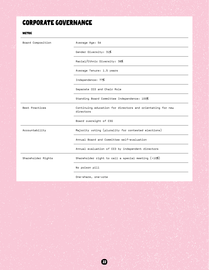## Corporate Governance

#### Metric

| Board Composition  | Average Age: 54                                                         |
|--------------------|-------------------------------------------------------------------------|
|                    | Gender Diversity: 31%                                                   |
|                    | Racial/Ethnic Diversity: 38%                                            |
|                    | Average Tenure: 1.5 years                                               |
|                    | Independence: 77%                                                       |
|                    | Separate CEO and Chair Role                                             |
|                    | Standing Board Committee Independence: 100%                             |
| Best Practices     | Continuing education for directors and orientating for new<br>directors |
|                    | Board oversight of ESG                                                  |
| Accountability     | Majority voting (plurality for contested elections)                     |
|                    | Annual Board and Committee self-evaluation                              |
|                    | Annual evaluation of CEO by independent directors                       |
| Shareholder Rights | Shareholder right to call a special meeting $($ >10%)                   |
|                    | No poison pill                                                          |
|                    |                                                                         |

One-share, one-vote